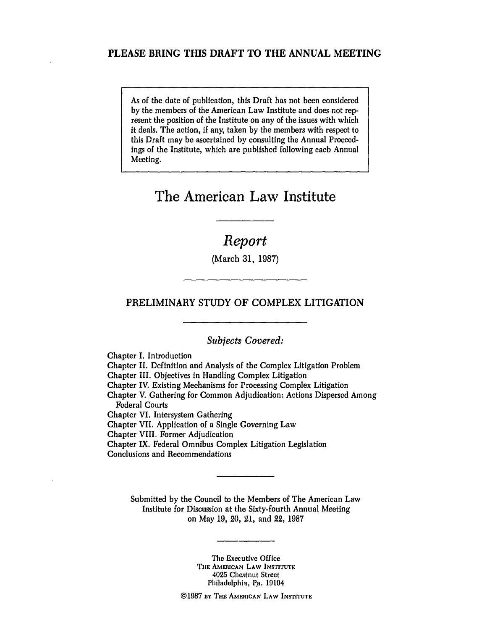### **PLEASE** BRING **THIS** DRAFT TO THE **ANNUAL MEETING**

As of the date of publication, this Draft has not been considered by the members of the American Law Institute and does not represent the position of the Institute on any of the issues with which it deals. The action, if any, taken by the members with respect to this Draft may be ascertained by consulting the Annual Proceedings of the Institute, which are published following each Annual Meeting.

# **The American Law Institute**

## *Report*

(March 31, 1987)

### PRELIMINARY STUDY OF COMPLEX LITIGATION

*Subjects Covered:*

Chapter I. Introduction Chapter II. Definition and Analysis of the Complex Litigation Problem Chapter III. Objectives in Handling Complex Litigation Chapter IV. Existing Mechanisms for Processing Complex Litigation Chapter V. Gathering for Common Adjudication: Actions Dispersed Among Federal Courts Chapter VI. Intersystem Gathering Chapter VII. Application of a Single Governing Law Chapter VIII. Former Adjudication Chapter IX. Federal Omnibus Complex Litigation Legislation Conclusions and Recommendations

Submitted by the Council to the Members of The American Law Institute for Discussion at the Sixty-fourth Annual Meeting on May 19, 20, 21, and 22, 1987

> The Executive Office **TUIE** AMERICANi **LAW INSTITUTE** 4025 Chestnut Street Philadelphia, Pa. 19104

©1987 BY **THE** AMERICAN **LAW INSTITUTE**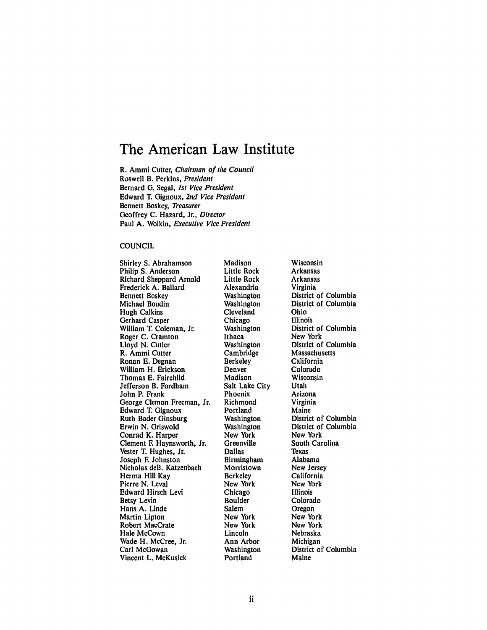# **The American Law Institute**

R. Ammi Cutter, Chairman of the Council Roswell B. Perkins, President Bernard **G.** Segal, *1st* Vice President Edward T. Gignoux, 2nd Vice President Bennett Boskey, *Treasurer* Geoffrey C. Hazard, Jr., Director Paul A. Wolkin, Executive Vice President

#### COUNCIL

Shirley **S.** Abrahamson Philip **S.** Anderson Richard Sheppard Arnold Frederick **A.** Ballard Bennett Boskey Michael Boudin Hugh Calkins Gerhard Casper William T. Coleman, Jr. Roger **C.** Cramton Lloyd **N.** Cutler R. Ammi Cutter Ronan **E.** Degnan William H. Erickson Thomas **E.** Fairchild Jefferson B. Fordham John P. Frank George Clemon Freeman, Jr. Edward T. Gignoux Ruth Bader Ginsburg Erwin **N.** Griswold Conrad K. Harper Clement **E** Haynsworth, Jr. Vester T. Hughes, Jr. Joseph **E** Johnston Nicholas deB. Katzenbach Herma Hill Kay Pierre N. Leval Edward Hirsch Levi Betsy Levin Hans **A.** Linde Martin Lipton Robert MacCrate Hale McCown Wade H. McCree, Jr. Carl McGowan Vincent L. McKusick

Madison Little Rock Little Rock Alexandria Washington Washington Cleveland Chicago Washington Ithaca Washington Cambridge Berkeley Denver Madison Salt Lake City Phoenix Richmond Portland Washington Washington New York Greenville Dallas Birmingham Morristown Berkeley New York Chicago Boulder Salem New York New York Lincoln Ann Arbor Washington Portland

Wisconsin Arkansas Arkansas Virginia District of Columbia District of Columbia Ohio Illinois District of Columbia New York District of Columbia Massachusetts California Colorado Wisconsin Utah Arizona Virginia Maine District of Columbia District of Columbia New York South Carolina Texas Alabama New Jersey California New York Illinois Colorado **Oregon** New York New York Nebraska Michigan District of Columbia Maine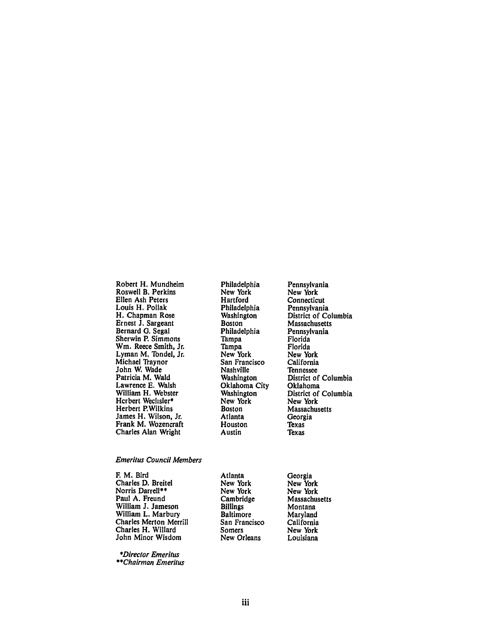Robert H. Mundheim Roswell B. Perkins Ellen Ash Peters Louis H. Pollak H. Chapman Rose Ernest **J.** Sargeant Bernard **G.** Segal Sherwin P. Simmons Wm. Reece Smith, Jr. Lyman M. Tondel, Jr. Michael Traynor John W. Wade Patricia M. Wald Lawrence **E.** Walsh William H. Webster Herbert Wechsler\* Herbert P.Wilkins James H. Wilson, Jr. Frank M. Wozencraft Charles Alan Wright

Emeritus Council Members

**E** M. Bird Charles **D.** Breitel Norris Darrell\*\* Paul A. Freund William **J.** Jameson William L. Marbury Charles Merton Merrill Charles H. Willard John Minor Wisdom

\*Director Emeritus *\*\*Chairman* Emeritus

Philadelphia New York Hartford Philadelphia Washington **Boston** Philadelphia Tampa Tampa New York San Francisco Nashville Washington Oklahoma City Washington New York Boston Atlanta Houston Austin

Atlanta New York New York Cambridge Billings Baltimore San Francisco Somers New Orleans

Pennsylvania New York Connecticut Pennsylvania District of Columbia Massachusetts Pennsylvania Florida Florida New York California Tennessee District of Columbia Oklahoma District of Columbia New York Massachusetts Georgia Texas Texas

Georgia New York New York Massachusetts Montana Maryland California New York Louisiana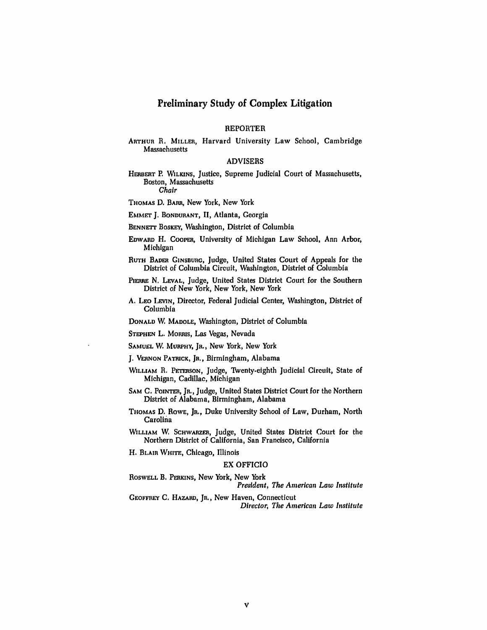### Preliminary Study of Complex Litigation

#### REPORTER

#### **ARTHUR** R. **MILLER,** Harvard University Law School, Cambridge Massachusetts

#### ADVISERS

**HERBERT** P. WILKINS, Justice, Supreme Judicial Court of Massachusetts, Boston, Massachusetts Chair

THOMAS **D.** BARs, New York, New York

**EMMET J. BONDURANT, II,** Atlanta, Georgia

BENNETT BOSKEY, Washington, District of Columbia

**EDwARD** H. **COOPER,** University of Michigan Law School, Ann Arbor, Michigan

**RUTH BADER GINSBURG,** Judge, United States Court of Appeals for the District of Columbia Circuit, Washington, District of Columbia

PIERRE N. LEVAL, Judge, United States District Court for the Southern District of New York, New York, New York

**A. LEo LEVIN,** Director, Federal Judicial Center, Washington, District of Columbia

**DONALD** W, **MADOLE,** Washington, District of Columbia

**STEPHEN** L. MORRIS, Las Vegas, Nevada

**SAMUEL** W, **MURPHY, JR.,** New York, New York

**J. VERNON PATRICK,** Jn., Birmingham, Alabama

- **WILLIAM** R. **PETERSON,** Judge, Twenty-eighth Judicial Circuit, State of Michigan, Cadillac, Michigan
- SAM C. POINTER, JR., Judge, United States District Court for the Northern District of Alabama, Birmingham, Alabama
- **THOMAS D. ROWE,** JR., Duke University School of Law, Durham, North Carolina
- **WILLIAM** W **SCHWARZER,** Judge, United States District Court for the Northern District of California, San Francisco, California
- H. **BLAIR WHITE,** Chicago, Illinois

#### EX OFFICIO

ROSWE.LL B. **PERKINS,** New York, New York *President, The American Law Institute*

**GEOFFREY C. HAZARD, JR., New Haven, Connecticut** *Director, The American Law Institute*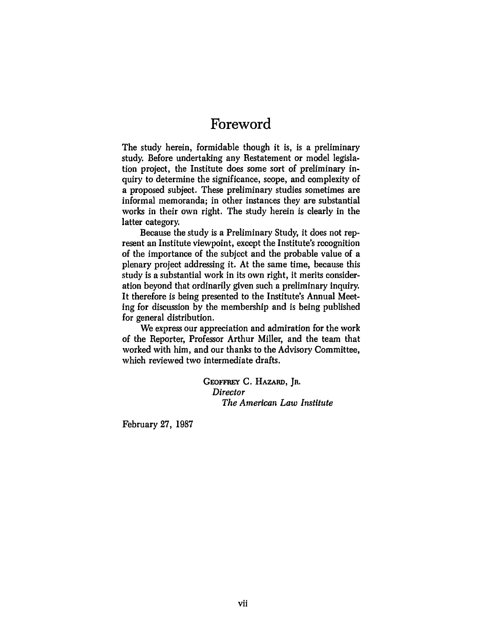# **Foreword**

The study herein, formidable though it is, is a preliminary study. Before undertaking any Restatement or model legislation project, the Institute does some sort of preliminary inquiry to determine the significance, scope, and complexity of a proposed subject. These preliminary studies sometimes are informal memoranda; in other instances they are substantial works in their own right. The study herein is clearly in the latter category.

Because the study is a Preliminary Study, it does not represent an Institute viewpoint, except the Institute's recognition of the importance of the subject and the probable value of a plenary project addressing it. At the same time, because this study is a substantial work in its own right, it merits consideration beyond that ordinarily given such a preliminary inquiry. It therefore is being presented to the Institute's Annual Meeting for discussion by the membership and is being published for general distribution.

We express our appreciation and admiration for the work of the Reporter, Professor Arthur Miller, and the team that worked with him, and our thanks to the Advisory Committee, which reviewed two intermediate drafts.

> **GEOFFREY** C. HAZARD, **JR.** *Director The American Law Institute*

February 27, 1987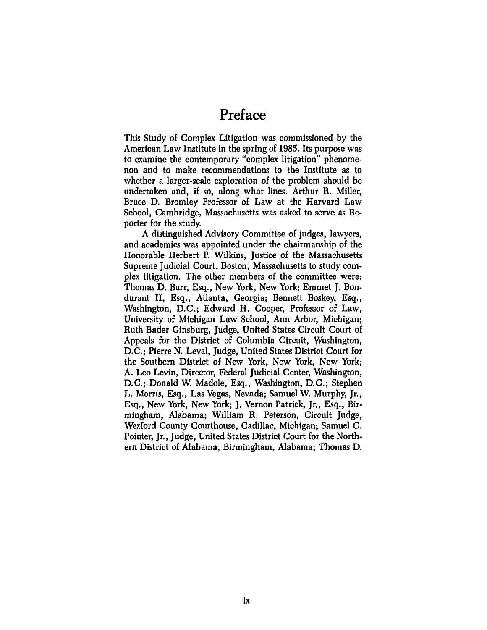# **Preface**

This Study of Complex Litigation was commissioned **by** the American Law Institute in the spring of 1985. Its purpose was to examine the contemporary "complex litigation" phenomenon and to make recommendations to the Institute as to whether a larger-scale exploration of the problem should be undertaken and, if so, along what lines. Arthur R. Miller, Bruce D. Bromley Professor of Law at the Harvard Law School, Cambridge, Massachusetts was asked to serve as Reporter for the study.

A distinguished Advisory Committee of judges, lawyers, and academics was appointed under the chairmanship of the Honorable Herbert P. Wilkins, Justice of the Massachusetts Supreme Judicial Court, Boston, Massachusetts to study complex litigation. The other members of the committee were: Thomas D. Barr, Esq., New York, New York; Emmet J. Bondurant II, Esq., Atlanta, Georgia; Bennett Boskey, Esq., Washington, D.C.; Edward H. Cooper, Professor of Law, University of Michigan Law School, Ann Arbor, Michigan; Ruth Bader Ginsburg, Judge, United States Circuit Court of Appeals for the District of Columbia Circuit, Washington, D.C.; Pierre N. Leval, Judge, United States District Court for the Southern District of New York, New York, New York; A. Leo Levin, Director, Federal Judicial Center, Washington, D.C.; Donald W. Madole, Esq., Washington, D.C.; Stephen L. Morris, Esq., Las Vegas, Nevada; Samuel W. Murphy, Jr., Esq., New York, New York; J. Vernon Patrick, Jr., Esq., Birmingham, Alabama; William R. Peterson, Circuit Judge, Wexford County Courthouse, Cadillac, Michigan; Samuel C. Pointer, Jr., Judge, United States District Court for the Northern District of Alabama, Birmingham, Alabama; Thomas D.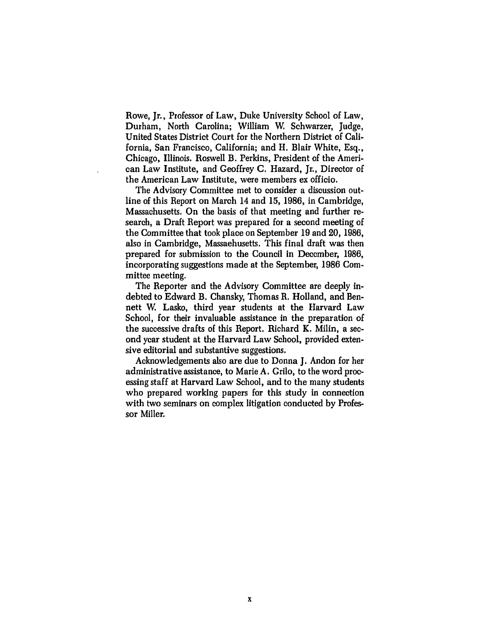Rowe, Jr., Professor of Law, Duke University School of Law, Durham, North Carolina; William W, Schwarzer, Judge, United States District Court for the Northern District of California, San Francisco, California; and H. Blair White, Esq., Chicago, Illinois. Roswell B. Perkins, President of the American Law Institute, and Geoffrey C. Hazard, Jr., Director of the American Law Institute, were members ex officio.

The Advisory Committee met to consider a discussion outline of this Report on March 14 and 15, 1986, in Cambridge, Massachusetts. On the basis of that meeting and further research, a Draft Report was prepared for a second meeting of the Committee that took place on September 19 and 20, 1986, also in Cambridge, Massachusetts. This final draft was then prepared for submission to the Council in December, 1986, incorporating suggestions made at the September, 1986 Committee meeting.

The Reporter and the Advisory Committee are deeply indebted to Edward B. Chansky, Thomas R. Holland, and Bennett W, Lasko, third year students at the Harvard Law School, for their invaluable assistance in the preparation of the successive drafts of this Report. Richard K. Milin, a second year student at the Harvard Law School, provided extensive editorial and substantive suggestions.

Acknowledgements also are due to Donna J. Andon for her administrative assistance, to Marie A. Grilo, to the word processing staff at Harvard Law School, and to the many students who prepared working papers for this study in connection with two seminars on complex litigation conducted by Professor Miller.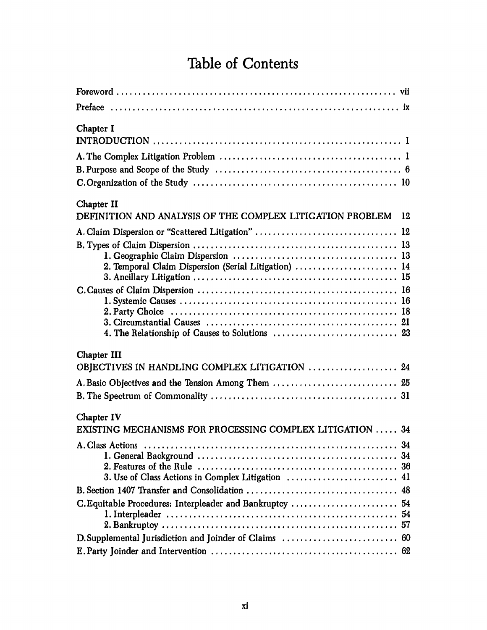# **Table of Contents**

| <b>Chapter I</b>                                                              |
|-------------------------------------------------------------------------------|
|                                                                               |
| Chapter II<br>DEFINITION AND ANALYSIS OF THE COMPLEX LITIGATION PROBLEM<br>12 |
| A. Claim Dispersion or "Scattered Litigation"  12                             |
| 2. Temporal Claim Dispersion (Serial Litigation)  14                          |
|                                                                               |
| <b>Chapter III</b>                                                            |
| OBJECTIVES IN HANDLING COMPLEX LITIGATION  24                                 |
| A. Basic Objectives and the Tension Among Them  25                            |
| Chapter IV<br>EXISTING MECHANISMS FOR PROCESSING COMPLEX LITIGATION  34       |
| 3. Use of Class Actions in Complex Litigation  41                             |
|                                                                               |
| C. Equitable Procedures: Interpleader and Bankruptcy  54                      |
|                                                                               |
|                                                                               |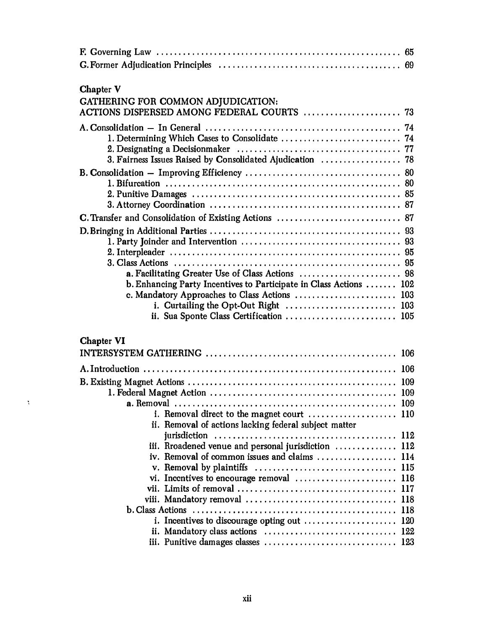| <b>Chapter V</b>                                                                      |
|---------------------------------------------------------------------------------------|
| GATHERING FOR COMMON ADJUDICATION:                                                    |
|                                                                                       |
|                                                                                       |
|                                                                                       |
|                                                                                       |
| 3. Fairness Issues Raised by Consolidated Ajudication  78                             |
|                                                                                       |
|                                                                                       |
|                                                                                       |
|                                                                                       |
| C. Transfer and Consolidation of Existing Actions  87                                 |
|                                                                                       |
|                                                                                       |
|                                                                                       |
| a. Facilitating Greater Use of Class Actions  98                                      |
| b. Enhancing Party Incentives to Participate in Class Actions  102                    |
| c. Mandatory Approaches to Class Actions  103                                         |
| i. Curtailing the Opt-Out Right  103                                                  |
| ii. Sua Sponte Class Certification  105                                               |
| <b>Chapter VI</b>                                                                     |
|                                                                                       |
|                                                                                       |
|                                                                                       |
|                                                                                       |
|                                                                                       |
| i. Removal direct to the magnet court $\dots \dots \dots \dots \dots \dots \dots$ 110 |
| ii. Removal of actions lacking federal subject matter                                 |
|                                                                                       |
| iii. Rroadened venue and personal jurisdiction  112                                   |
| iv. Removal of common issues and claims  114                                          |
|                                                                                       |
|                                                                                       |
|                                                                                       |
|                                                                                       |
| i. Incentives to discourage opting out  120                                           |
|                                                                                       |
|                                                                                       |

 $\hat{\mathbf{y}}$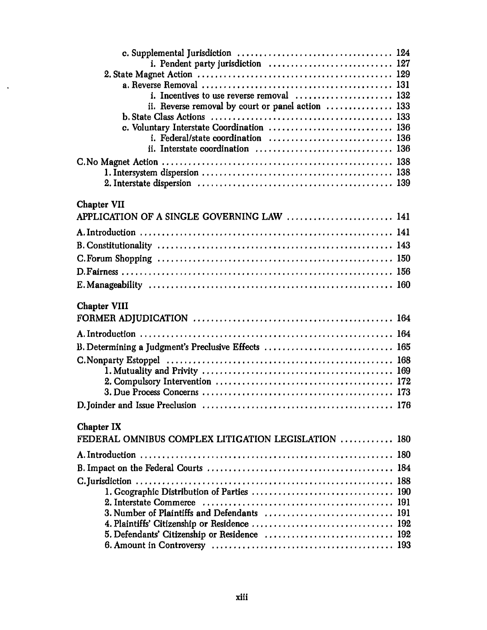$\langle \cdot \rangle$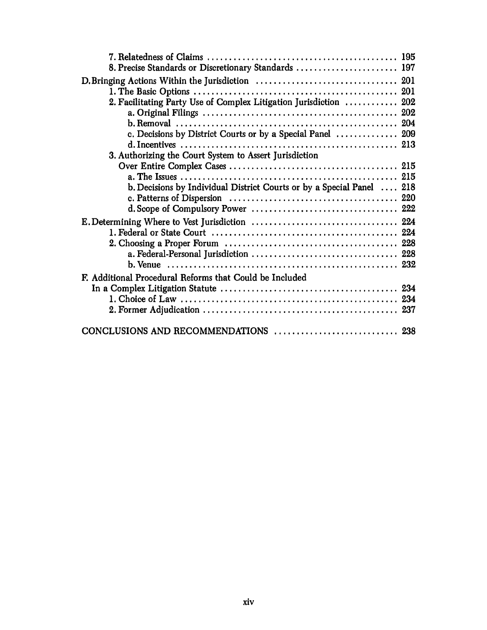| 8. Precise Standards or Discretionary Standards  197                  |  |
|-----------------------------------------------------------------------|--|
|                                                                       |  |
|                                                                       |  |
| 2. Facilitating Party Use of Complex Litigation Jurisdiction  202     |  |
|                                                                       |  |
|                                                                       |  |
| c. Decisions by District Courts or by a Special Panel  209            |  |
|                                                                       |  |
| 3. Authorizing the Court System to Assert Jurisdiction                |  |
|                                                                       |  |
|                                                                       |  |
| b. Decisions by Individual District Courts or by a Special Panel  218 |  |
|                                                                       |  |
|                                                                       |  |
|                                                                       |  |
|                                                                       |  |
|                                                                       |  |
|                                                                       |  |
| F. Additional Procedural Reforms that Could be Included               |  |
|                                                                       |  |
|                                                                       |  |
|                                                                       |  |
|                                                                       |  |
|                                                                       |  |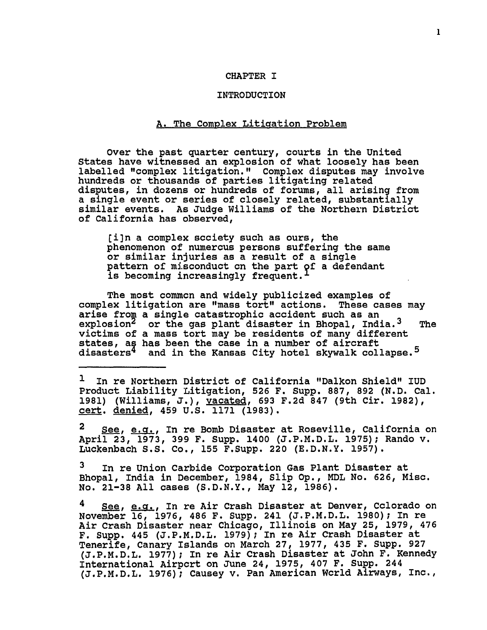#### CHAPTER I

#### INTRODUCTION

### A. The Complex Litigation Problem

Over the past quarter century, courts in the United States have witnessed an explosion of what loosely has been labelled "complex litigation." Complex disputes may involve hundreds or thousands of parties litigating related disputes, in dozens or hundreds of forums, all arising from a single event or series of closely related, substantially similar events. As Judge Williams of the Northern District of California has observed,

**[i]n** a complex society such as ours, the phenomenon of numerous persons suffering the same or similar injuries as a result of a single pattern of misconduct on the part of a defendant is becoming increasingly frequent.

The most common and widely publicized examples of complex litigation are "mass tort" actions. These cases may arise from a single catastrophic accident such as an explosion<sup>2</sup> or the gas plant disaster in Bhopal, Indi or the gas plant disaster in Bhopal, India.<sup>3</sup> The victims of a mass tort may be residents of many different states, as has been the case in a number of aircraft disasters<sup>4</sup> and in the Kansas City hotel skywalk collapse.<sup>5</sup>

**1** In re Northern District of California "Dalkon Shield" IUD Product Liability Litigation, **526** F. Supp. **887, 892 (N.D.** Cal. **1981)** (Williams, **J.),** vacated, **693 F.2d** 847 (9th Cir. **1982),** cert. denied, 459 **U.S. 1171 (1983).**

2 See, e.g., In re Bomb Disaster at Roseville, California on April **23, 1973, 399** F. Supp. 1400 **(J.P.M.D.L. 1975);** Rando v. Luckenbach **S.S.** Co., **155** F.Supp. 220 **(E.D.N.Y. 1957).**

**3** In re Union Carbide Corporation Gas Plant Disaster at Bhopal, India in December, 1984, Slip **Op.,** MDL No. **626,** Misc. No. **21-38 All** cases **(S.D.N.Y.,** May 12, **1986).**

See, e.g., In re Air Crash Disaster at Denver, Cclorado on November **16, 1976,** 486 F. Supp. 241 **(J.P.M.D.L. 1980);** In re Air Crash Disaster near Chicago, Illinois on May **25, 1979,** 476 F. Supp. 445 **(J.P.M.D.L. 1979);** In re Air Crash Disaster at Tenerife, Canary Islands on March **27, 1977,** 435 F. **Supp. 927 (J.P.M.D.L. 1977);** In re Air Crash Disaster at John F. Kennedy International Airport on June 24, **1975,** 407 F. Supp. 244 **(J.P.M.D.L. 1976);** Causey v. Pan American World Airways, Inc.,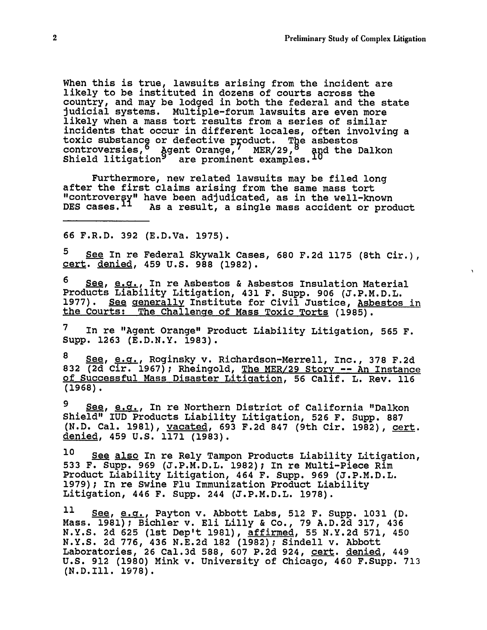When this is true, lawsuits arising from the incident are likely to be instituted in dozens of courts across the country, and may be lodged in both the federal and the state judicial systems. Multiple-forum lawsuits are even more likely when a mass tort results from a series of similar incidents that occur in different locales, often involving a toxic substance or defective product. The asbestos controversies, agent Orange, MER/29, <sup>8</sup> and the Dalkon Shield litigation are prominent examples.

Furthermore, new related lawsuits may be filed long after the first claims arising from the same mass tort "controver y" have been adjudicated, as in the well-known DES cases.<sup>11</sup> As a result, a single mass accident or product

66 F.R.D. **392** (E.D.Va. 1975).

**5** See In re Federal Skywalk Cases, 680 F.2d **1175** (8th Cir.), cert. denied, 459 U.S. 988 (1982).

See, e.g., In re Asbestos & Asbestos Insulation Material Products Liability Litigation, 431 F. Supp. 906 (J.P.M.D.L. 1977). See generally Institute for Civil Justice, Asbestos in the Courts: The Challenge of Mass Toxic Torts (1985).

**7** In re "Agent Orange" Product Liability Litigation, 565 F. Supp. 1263 (E.D.N.Y. 1983).

8 See, e.g., Roginsky v. Richardson-Merrell, Inc., **378** F.2d **832** (2d Cir. 1967); Rheingold, The MER/29 Story -- An Instance of Successful Mass Disaster Litigation, 56 Calif. L. Rev. 116 **(1968).**

<sup>9</sup> <u>See, e.g.</u>, In re Northern District of California "Dalkon Shield" IUD Products Liability Litigation, 526 F. Supp. 887 (N.D. Cal. 1981), vacated, 693 F.2d 847 (9th Cir. 1982), cert. denied, 459 U.S. 1171 (1983).

**10** See also In re Rely Tampon Products Liability Litigation, **533** F. Supp. 969 (J.P.M.D.L. 1982); In re Multi-Piece Rim Product Liability Litigation, 464 F. Supp. 969 (J.P.M.D.L. 1979); In re Swine Flu Immunization Product Liability Litigation, 446 F. Supp. 244 (J.P.M.D.L. 1978).

**11** See, e.cr., Payton v. Abbott Labs, **512** F. Supp. **1031** (D. Mass. 1981); Bichler v. Eli Lilly & Co., 79 A.D.2d 317, 436 N.Y.S. 2d 625 (1st Dep't 1981), affirmed, 55 N.Y.2d 571, 450 N.Y.S. 2d 776, 436 N.E.2d 182 (1982); Sindell v. Abbott Laboratories, 26 Cal.3d 588, 607 P.2d 924, cert. denied, 449 U.S. 912 (1980) Mink v. University of Chicago, 460 F.Supp. 713 (N.D.Ill. 1978).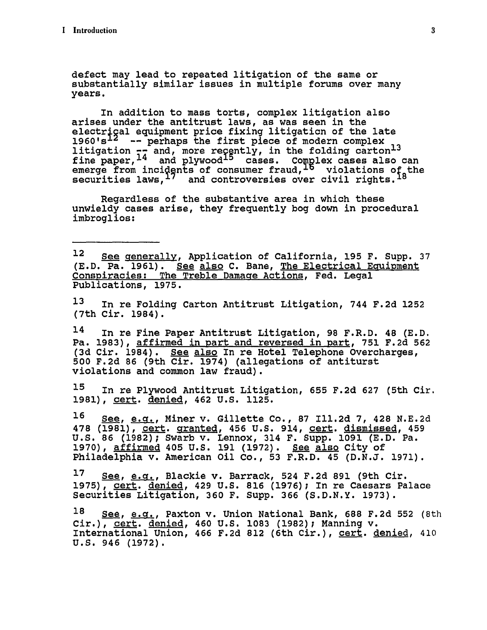defect may lead to repeated litigation of the same or substantially similar issues in multiple forums over many years.

In addition to mass torts, complex litigation also arises under the antitrust laws, as was seen in the electrical equipment price fixing litigation of the late 1960's **--** perhaps the first piece of modern complex **13** litigation  $\tau_{\overline{A}}$  and, more reçently, in the folding carton<sup>13</sup> fine paper,  $^{14}$  and plywood $^{15}$  cases. Complex cases also can emerge from incidents of consumer fraud, <sup>Lo</sup> violations of the securities laws, $17$  and controversies over civil rights.  $18$ 

Regardless of the substantive area in which these unwieldy cases arise, they frequently bog down in procedural imbroglios:

12 See generally, Application of California, **195** F. Supp. **37 (E.D.** Pa. **1961).** See also **C.** Bane, The Electrical Equipment Conspiracies: The Treble Damage Actions, Fed. Legal Publications, **1975.**

**13** In re Folding Carton Antitrust Litigation, 744 **F.2d 1252** (7th Cir. 1984).

14 In re Fine Paper Antitrust Litigation, **98** F.R.D. 48 **(E.D.** Pa. **1983),** affirmed in part and reversed in part, **751 F.2d 562 (3d** Cir. 1984). See also In re Hotel Telephone Overcharges, **500 F.2d 86** (9th Cir. 1974) (allegations of antiturst violations and common law fraud).

**15** In re Plywood Antitrust Litigation, **655 F.2d 627** (5th Cir. **1981),** cert. denied, 462 **U.S. 1125.**

**16** See, e.g., Miner v. Gillette Co., **87** Ill.2d **7,** 428 **N.E.2d** 478 (1981), cert. granted, 456 **U.S.** 914, cert. dismissed, 459 **U.S. 86 (1982);** Swarb v. Lennox, 314 F. Supp. **1091 (E.D.** Pa. **1970),** affirmed 405 **U.S. 191 (1972). See** also City of Philadelphia v. American Oil Co., **53** F.R.D. 45 **(D.N.J. 1971).**

**17** See, e.g., Blackie v. Barrack, 524 **F.2d 891** (9th Cir. **1975),** cert. denied, 429 **U.S. 816 (1976);** In re Caesars Palace Securities Litigation, **360** F. Supp. **366 (S.D.N.Y. 1973).**

**18** See, e.g., Paxton v. Union National Bank, **688 F.2d 552** (8th Cir.), **cert.** denied, 460 **U.S. 1083 (1982);** Manning v. International Union, 466 **F.2d 812** (6th Cir.), cert. denied, 410 U.S. 946 (1972).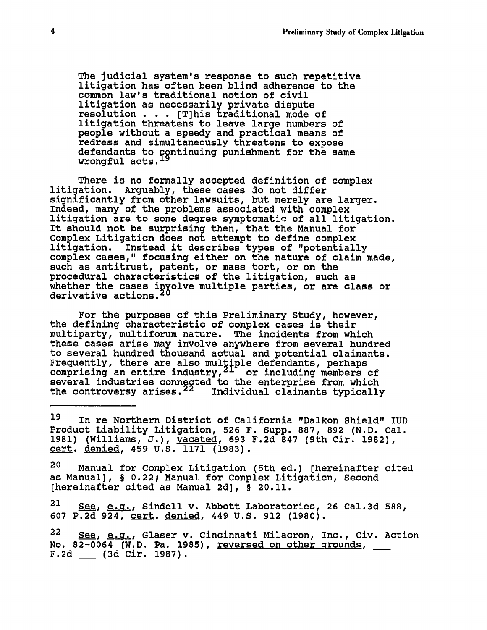The judicial system's response to such repetitive litigation has often been blind adherence to the common law's traditional notion of civil litigation as necessarily private dispute resolution **. . .** [T]his traditional mode of litigation threatens to leave large numbers of people without a speedy and practical means of redress and simultaneously threatens to expose defendants to continuing punishment for the same wrongful acts.

There is no formally accepted definition of complex litigation. Arguably, these cases do not differ significantly from other lawsuits, but merely are larger. Indeed, many of the problems associated with complex litigation are to some degree symptomatic of all litigation. It should not be surprising then, that the Manual for Complex Litigation does not attempt to define complex litigation. Instead it describes types of "potentially complex cases," focusing either on the nature of claim made, such as antitrust, patent, or mass tort, or on the procedural characteristics of the litigation, such as whether the cases involve multiple parties, or are class or derivative actions.<sup>20</sup>

For the purposes of this Preliminary Study, however, the defining characteristic of complex cases is their multiparty, multiforum nature. The incidents from which these cases arise may involve anywhere from several hundred to several hundred thousand actual and potential claimants. Frequently, there are also multiple defendants, perhaps comprising an entire industry,  $21^{\circ}$  or including members cf several industries connegted to the enterprise from which the controversy arises.<sup>22</sup> Individual claimants typically

**19** In re Northern District of California "Dalkon Shield" IUD Product Liability Litigation, **526** F. Supp. **887, 892 (N.D.** Cal. **1981)** (Williams, **J.),** vacated, **693 F.2d 847** (9th Cir. **1982),** cert. denied, 459 **U.S.** 1171 **(1983).**

20 Manual for Complex Litigation (5th ed.) [hereinafter cited as Manual], § 0.22; Manual for Complex Litigation, Second [hereinafter cited as Manual **2d],** § 20.11.

21 **See, e.g,** Sindell v. Abbott Laboratories, **26** Cal.3d **588, 607 P.2d** 924, cert. denied, 449 **U.S. 912 (1980).**

**22** See, **e.g,** Glaser v. Cincinnati Milacron, Inc., Civ. Action No. 82-0064 (W.D. Pa. **1985),** reversed on other grounds, **F.2d \_\_ (3d** Cir. **1987).**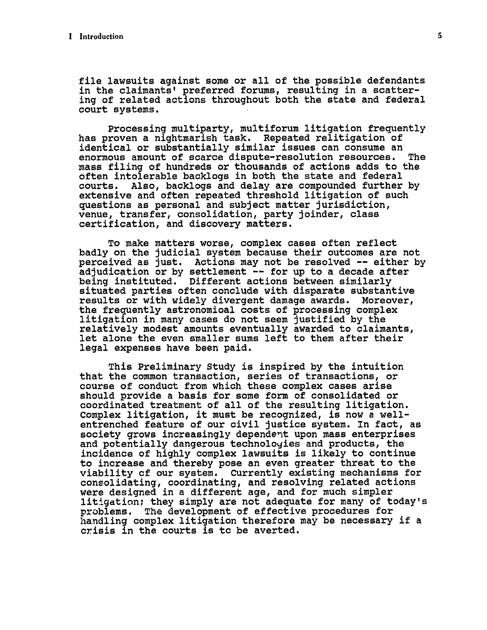file lawsuits against some or all of the possible defendants in the claimants' preferred forums, resulting in a scattering of related actions throughout both the state and federal court systems.

Processing multiparty, multiforum litigation frequently has proven a nightmarish task. Repeated relitigation of identical or substantially similar issues can consume an enormous amount of scarce dispute-resolution resources. The mass filing of hundreds or thousands of actions adds to the often intolerable backlogs in both the state and federal courts. Also, backlogs and delay are compounded further by extensive and often repeated threshold litigation of such questions as personal and subject matter jurisdiction, venue, transfer, consolidation, party joinder, class certification, and discovery matters.

To make matters worse, complex cases often reflect badly on the judicial system because their outcomes are not perceived as just. Actions may not be resolved -- either by adjudication or by settlement -- for up to a decade after being instituted. Different actions between similarly situated parties often conclude with disparate substantive results or with widely divergent damage awards. Moreover, the frequently astronomical costs of processing complex litigation in many cases do not seem justified by the relatively modest amounts eventually awarded to claimants, let alone the even smaller sums left to them after their legal expenses have been paid.

This Preliminary Study is inspired by the intuition that the common transaction, series of transactions, or course of conduct from which these complex cases arise should provide a basis for some form of consolidated or coordinated treatment of all of the resulting litigation. Complex litigation, it must be recognized, is now a wellentrenched feature of our civil justice system. In fact, as society grows increasingly dependent upon mass enterprises and potentially dangerous technologies and products, the incidence of highly complex lawsuits is likely to continue to increase and thereby pose an even greater threat to the viability of our system. Currently existing mechanisms for consolidating, coordinating, and resolving related actions were designed in a different age, and for much simpler litigation; they simply are not adequate for many of today's problems. The development of effective procedures for handling complex litigation therefore may be necessary if a crisis in the courts is to be averted.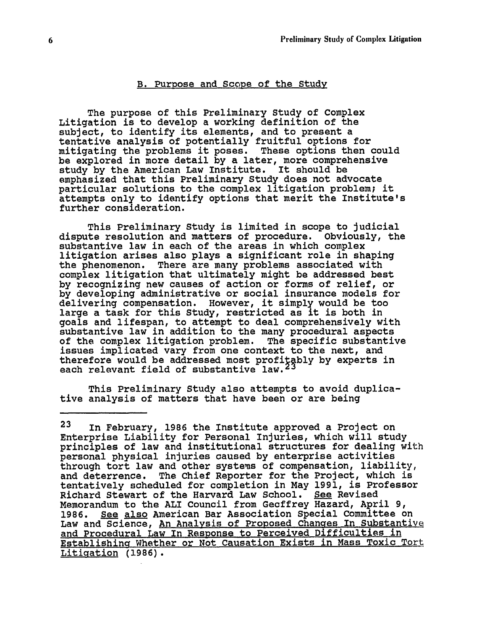#### B. Purpose and Scope of the Study

The purpose of this Preliminary Study of Complex Litigation is to develop a working definition of the subject, to identify its elements, and to present a tentative analysis of potentially fruitful options for mitigating the problems it poses. These options then could be explored in more detail by a later, more comprehensive study by the American Law Institute. It should be emphasized that this Preliminary Study does not advocate particular solutions to the complex litigation problem; it attempts only to identify options that merit the Institute's further consideration.

This Preliminary Study is limited in scope to judicial<br>te resolution and matters of procedure. Obviously, the dispute resolution and matters of procedure. substantive law in each of the areas in which complex litigation arises also plays a significant role in shaping<br>the phenomenon. There are many problems associated with There are many problems associated with complex litigation that ultimately might be addressed best by recognizing new causes of action or forms of relief, or by developing administrative or social insurance models for delivering compensation. However, it simply would be too large a task for this Study, restricted as it is both in goals and lifespan, to attempt to deal comprehensively with substantive law in addition to the many procedural aspects of the complex litigation problem. The specific substantive issues implicated vary from one context to the next, and therefore would be addressed most profitably by experts in each relevant field of substantive law.

This Preliminary Study also attempts to avoid duplicative analysis of matters that have been or are being

<sup>23</sup> In February, 1986 the Institute approved a Project on Enterprise Liability for Personal Injuries, which will study principles of law and institutional structures for dealing with personal physical injuries caused by enterprise activities through tort law and other systems of compensation, liability, and deterrence. The Chief Reporter for the Project, which is tentatively scheduled for completion in May 1991, is Professor Richard Stewart of the Harvard Law School. See Revised Memorandum to the ALI Council from Geoffrey Hazard, April 9, 1986. See also American Bar Association Special Committee on Law and Science, An Analysis of Proposed Changes In Substantive and Procedural Law In Response to Perceived Difficulties in Establishing\_ Whether or Not Causation Exists in Mass Toxic Tort Litigation (1986).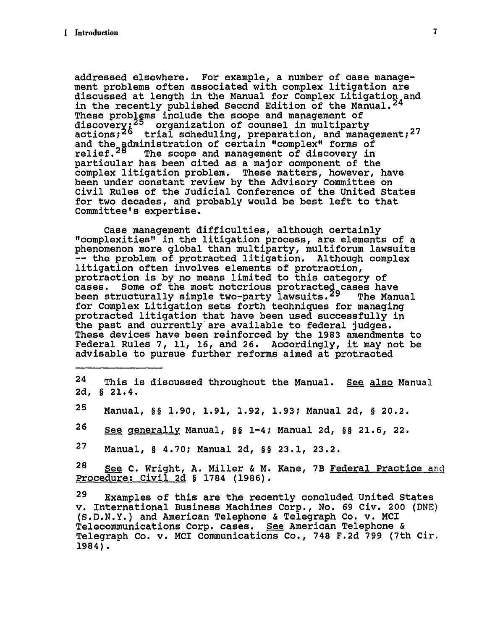addressed elsewhere. For example, a number of case management problems often associated with complex litigation are discussed at length in the Manual for Complex Litigation and in the recently published Seccnd Edition of the Manual. $^{24}$ These problems include the scope and management of discovery $\chi^{25}$  organization of counsel in multiparty  $\sim$ actions;<sup>26</sup> trial scheduling, preparation, and management;<sup>27</sup> and the administration of certain "complex" forms of relief.<sup>28</sup> The scope and management of discovery in particular has been cited as a major component of the complex litigation problem. These matters, however, have been under constant review by the Advisory Committee on Civil Rules of the Judicial Conference of the United States for two decades, and probably would be best left to that Committee's expertise.

Case management difficulties, although certainly "complexities" in the litigation process, are elements of a phenomenon more global than multiparty, multiforum lawsuits -- the problem of protracted litigation. Although complex litigation often involves elements of protraction, protraction is by no means limited to this category of cases. Some of the most notcrious protracted cases have been structurally simple two-party lawsuits.<sup>29</sup> The Manual for Complex Litigation sets forth techniques for managing protracted litigation that have been used successfully in the past and currently' are available to federal judges. These devices have been reinforced by the 1983 amendments to Federal Rules 7, **11,** 16, and **26.** Accordingly, it may not be advisable to pursue further reforms aimed at protracted

- 24 This is discussed throughout the Manual. See also Manual **2d,** § 21.4.
- **25** Manual, §§ 1.90, 1.91, 1.92, 1.93; Manual 2d, § 20.2.
- **26** See generally Manual, §§ 1-4; Manual 2d, §§ 21.6, 22.

**27** Manual, § 4.70; Manual 2d, §§ **23.1,** 23.2.

28 See C. Wright, A. Miller & M. Kane, 7B Federal Practice and Procedure: Civil 2d § 1784 (1986).

29 Examples of this are the recently concluded United States v. International Business Machines Corp., No. 69 Civ. 200 (DNE) (S.D.N.Y.) and American Telephone & Telegraph Co. v. MCI Telecommunications Corp. cases. See American Telephone & Telegraph Co. v. MCI Communications Co., 748 F.2d 799 (7th Cir. 1984).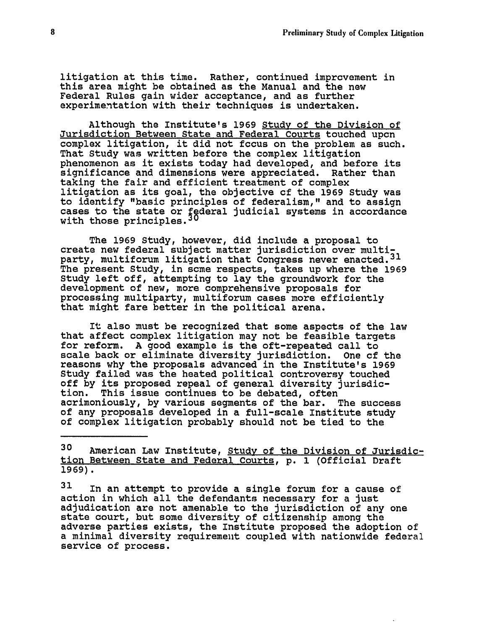litigation at this time. Rather, continued improvement in this area might be obtained as the Manual and the new Federal Rules gain wider acceptance, and as further experimentation with their techniques is undertaken.

Although the Institute's 1969 Study of the Division of Jurisdiction Between State and Federal Courts touched upon complex litigation, it did not focus on the problem as such. That Study was written before the complex litigation phenomenon as it exists today had developed, and before its significance and dimensions were appreciated. Rather than taking the fair and efficient treatment of complex litigation as its goal, the objective of the 1969 Study was to identify "basic principles of federalism," and to assign cases to the state or federal judicial systems in accordance with those principles.

The 1969 Study, however, did include a proposal to create new federal subject matter jurisdiction over multiparty, multiforum litigation that Congress never enacted.<sup>31</sup> The present Study, in some respects, takes up where the 1969 Study left off, attempting to lay the groundwork for the development of new, more comprehensive proposals for processing multiparty, multiforum cases more efficiently that might fare better in the political arena.

It also must be recognized that some aspects of the law that affect complex litigation may not be feasible targets for reform. A good example is the oft-repeated call to scale back or eliminate diversity jurisdiction. One of the reasons why the proposals advanced in the Institute's 1969 Study failed was the heated political controversy touched off by its proposed repeal of general diversity jurisdiction. This issue continues to be debated, often acrimoniously, by various segments of the bar. The success of any proposals developed in a full-scale Institute study of complex litigation probably should not be tied to the

<sup>30</sup> American Law Institute, Study of the Division of Jurisdiction Between State and Federal Courts, p. 1 (Official Draft **1969).**

**<sup>31</sup>** In an attempt to provide a single forum for a cause of action in which all the defendants necessary for a just adjudication are not amenable to the jurisdiction of any one state court, but some diversity of citizenship among the adverse parties exists, the Institute proposed the adoption of a minimal diversity requirement coupled with nationwide federal service of process.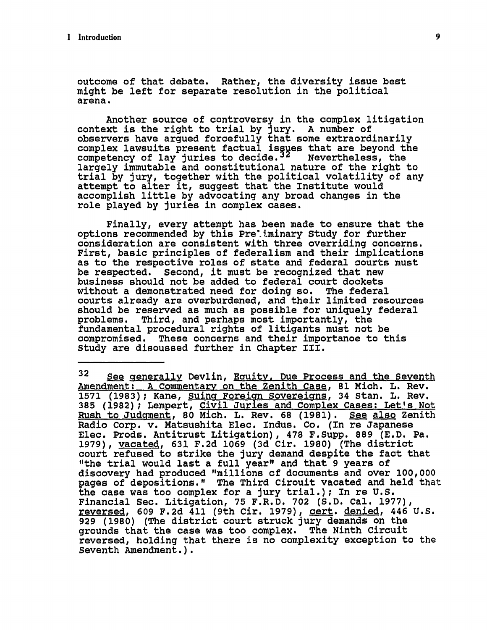outcome of that debate. Rather, the diversity issue best might be left for separate resolution in the political arena.

Another source of controversy in the complex litigation context is the right to trial **by** jury. A number of observers have argued forcefully that some extraordinarily complex lawsuits present factual is **9es** that are beyond the competency of lay juries to decide.<sup>32</sup> Mevertheless, the largely immutable and constitutional nature of the right to trial **by** jury, together with the political volatility of any attempt to alter it, suggest that the Institute would accomplish little **by** advocating any broad changes in the role played **by** juries in complex cases.

Finally, every attempt has been made to ensure that the options recommended **by** this Pre'tminary Study for further consideration are consistent with three overriding concerns. First, basic principles of federalism and their implications as to the respective roles of state and federal courts must be respected. Second, it must be recognized that new business should not be added to federal court dockets without a demonstrated need for doing so. The federal courts already are overburdened, and their limited resources should be reserved as much as possible for uniquely federal problems. Third, and perhaps most importantly, the fundamental procedural rights of litigants must not be compromised. These concerns and their importance to this Study are discussed further in Chapter III.

**<sup>32</sup>** See generally Devlin, Equity, Due Process and the Seventh Amendment: **A** Commentary on the Zenith Case, **81** Mich. L. Rev. **1571 (1983);** Kane, Suing Foreign Sovereigns, 34 Stan. L. Rev. **385 (1982);** Lempert, Civil Juries and Complex Cases: Let's Not Rush to JudgMent, **80** Mich. L. Rev. **68 (1981).** See also Zenith Radio Corp. v. Matsushita Elec. Indus. Co. (In re Japanese Elec. Prods. Antitrust Litigation), **478** F.Supp. **889 (E.D.** Pa. **1979),** vacated, **631 F.2d 1069 (3d** Cir. **1980)** (The district court refused to strike the jury demand despite the fact that "the trial would last a full year" and that **9** years of discovery had produced "millions of documents and over **100,000** pages of depositions." The Third Circuit vacated and held that the case was too complex for a jury trial.); In re **U.S.** Financial Sec. Litigation, **75** F.R.D. **702 (S.D.** Cal. 1977), reversed, **609 F.2d** 411 (9th Cir. **1979),** cert. denied, 446 **U.S. 929 (1980)** (The district court struck jury demands on the grounds that the case was too complex. The Ninth Circuit reversed, holding that there is no complexity exception to the Seventh Amendment.).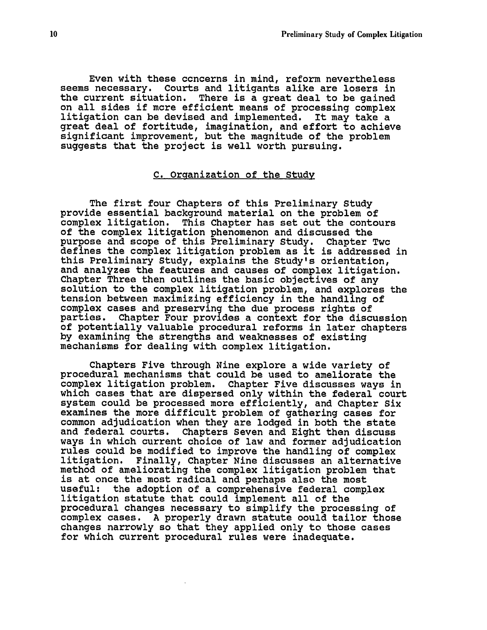Even with these concerns in mind, reform nevertheless seems necessary. Courts and litigants alike are losers in the current situation. There is a great deal to be gained on all sides if more efficient means of processing complex litigation can be devised and implemented. It may take a great deal of fortitude, imagination, and effort to achieve significant improvement, but the magnitude of the problem suggests that the project is well worth pursuing.

### C. Organization of the Study

The first four Chapters of this Preliminary Study provide essential background material on the problem of complex litigation. This Chapter has set out the contours of the complex litigation phenomenon and discussed the purpose and scope of this Preliminary Study. Chapter Two defines the complex litigation problem as it is addressed in this Preliminary Study, explains the Study's orientation, and analyzes the features and causes of complex litigation. Chapter Three then outlines the basic objectives of any solution to the complex litigation problem, and explores the tension between maximizing efficiency in the handling of complex cases and preserving the due process rights of parties. Chapter Four provides a context for the discussion of potentially valuable procedural reforms in later chapters **by** examining the strengths and weaknesses of existing mechanisms for dealing with complex litigation.

Chapters Five through Nine explore a wide variety of procedural mechanisms that could be used to ameliorate the complex litigation problem. Chapter Five discusses ways in which cases that are dispersed only within the federal court system could **be** processed more efficiently, and Chapter Six examines the more difficult problem of gathering cases for common adjudication when they are lodged in both the state and federal courts. Chapters Seven and Eight then discuss ways in which current choice of law and former adjudication rules could be modified to improve the handling of complex litigation. Finally, Chapter Nine discusses an alternative method of ameliorating the complex litigation problem that is at once the most radical and perhaps also the most useful: the adoption of a comprehensive federal complex litigation statute that could implement all of the procedural changes necessary to simplify the processing of complex cases. A properly drawn statute could tailor those changes narrowly so that they applied only to those cases for which current procedural rules were inadequate.